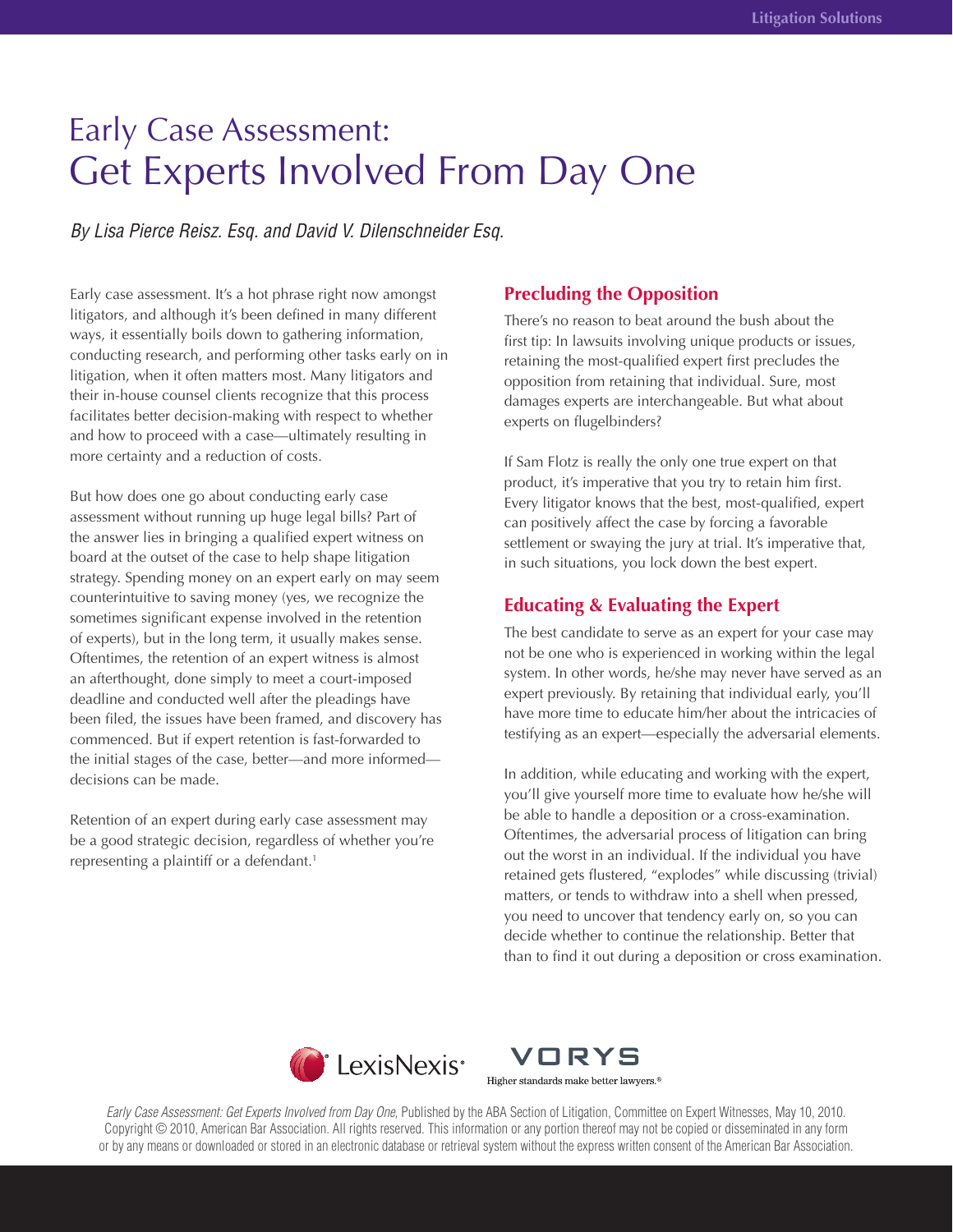# Early Case Assessment: Get Experts Involved From Day One

*By Lisa Pierce Reisz. Esq. and David V. Dilenschneider Esq.*

Early case assessment. It's a hot phrase right now amongst litigators, and although it's been defined in many different ways, it essentially boils down to gathering information, conducting research, and performing other tasks early on in litigation, when it often matters most. Many litigators and their in-house counsel clients recognize that this process facilitates better decision-making with respect to whether and how to proceed with a case—ultimately resulting in more certainty and a reduction of costs.

But how does one go about conducting early case assessment without running up huge legal bills? Part of the answer lies in bringing a qualified expert witness on board at the outset of the case to help shape litigation strategy. Spending money on an expert early on may seem counterintuitive to saving money (yes, we recognize the sometimes significant expense involved in the retention of experts), but in the long term, it usually makes sense. Oftentimes, the retention of an expert witness is almost an afterthought, done simply to meet a court-imposed deadline and conducted well after the pleadings have been filed, the issues have been framed, and discovery has commenced. But if expert retention is fast-forwarded to the initial stages of the case, better—and more informed decisions can be made.

Retention of an expert during early case assessment may be a good strategic decision, regardless of whether you're representing a plaintiff or a defendant.<sup>1</sup>

# **Precluding the Opposition**

There's no reason to beat around the bush about the first tip: In lawsuits involving unique products or issues, retaining the most-qualified expert first precludes the opposition from retaining that individual. Sure, most damages experts are interchangeable. But what about experts on flugelbinders?

If Sam Flotz is really the only one true expert on that product, it's imperative that you try to retain him first. Every litigator knows that the best, most-qualified, expert can positively affect the case by forcing a favorable settlement or swaying the jury at trial. It's imperative that, in such situations, you lock down the best expert.

# **Educating & Evaluating the Expert**

The best candidate to serve as an expert for your case may not be one who is experienced in working within the legal system. In other words, he/she may never have served as an expert previously. By retaining that individual early, you'll have more time to educate him/her about the intricacies of testifying as an expert—especially the adversarial elements.

In addition, while educating and working with the expert, you'll give yourself more time to evaluate how he/she will be able to handle a deposition or a cross-examination. Oftentimes, the adversarial process of litigation can bring out the worst in an individual. If the individual you have retained gets flustered, "explodes" while discussing (trivial) matters, or tends to withdraw into a shell when pressed, you need to uncover that tendency early on, so you can decide whether to continue the relationship. Better that than to find it out during a deposition or cross examination.



VORYS Higher standards make better lawyers.<sup>®</sup>

*Early Case Assessment: Get Experts Involved from Day One,* Published by the ABA Section of Litigation, Committee on Expert Witnesses, May 10, 2010. Copyright © 2010, American Bar Association. All rights reserved. This information or any portion thereof may not be copied or disseminated in any form or by any means or downloaded or stored in an electronic database or retrieval system without the express written consent of the American Bar Association.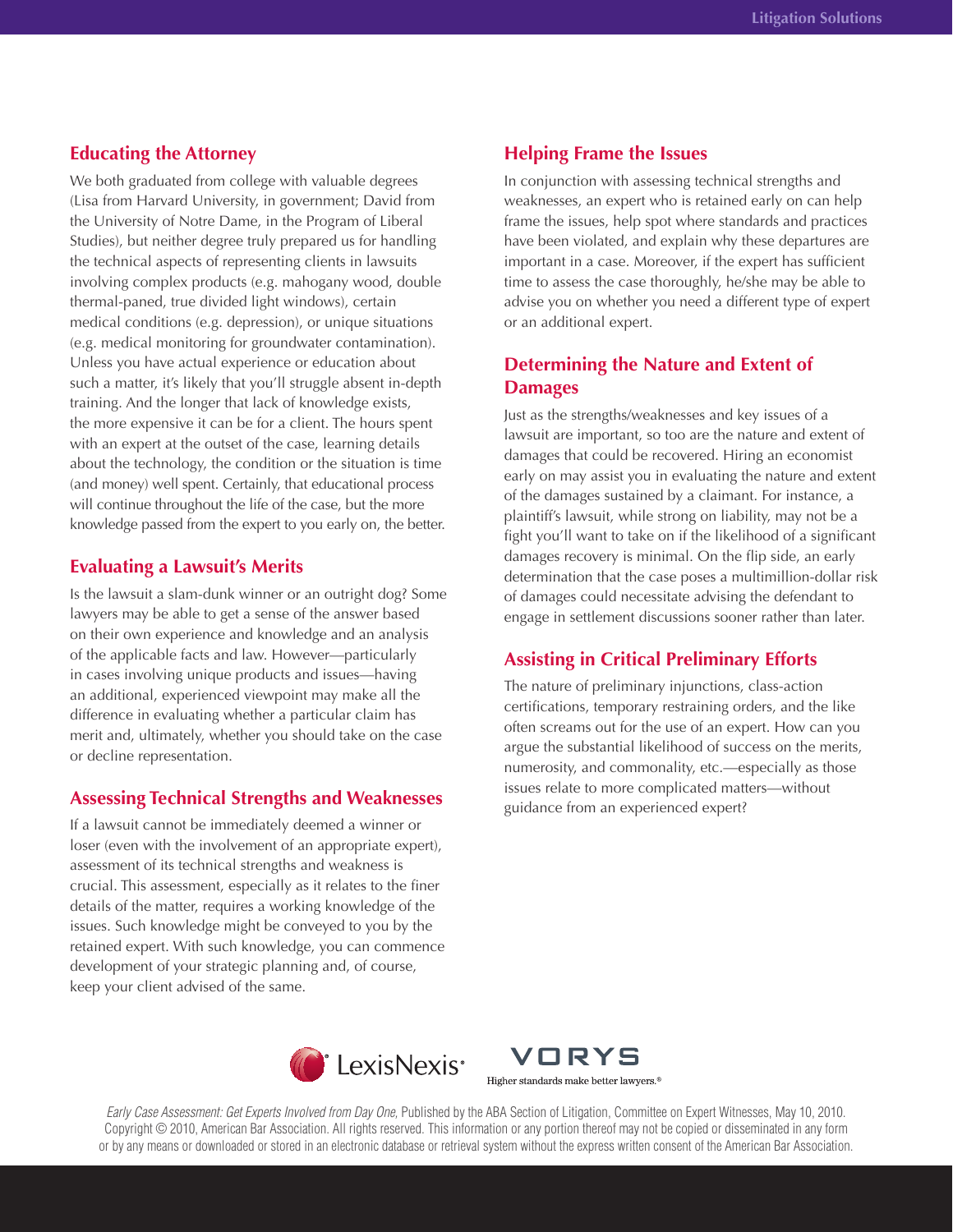## **Educating the Attorney**

We both graduated from college with valuable degrees (Lisa from Harvard University, in government; David from the University of Notre Dame, in the Program of Liberal Studies), but neither degree truly prepared us for handling the technical aspects of representing clients in lawsuits involving complex products (e.g. mahogany wood, double thermal-paned, true divided light windows), certain medical conditions (e.g. depression), or unique situations (e.g. medical monitoring for groundwater contamination). Unless you have actual experience or education about such a matter, it's likely that you'll struggle absent in-depth training. And the longer that lack of knowledge exists, the more expensive it can be for a client. The hours spent with an expert at the outset of the case, learning details about the technology, the condition or the situation is time (and money) well spent. Certainly, that educational process will continue throughout the life of the case, but the more knowledge passed from the expert to you early on, the better.

#### **Evaluating a Lawsuit's Merits**

Is the lawsuit a slam-dunk winner or an outright dog? Some lawyers may be able to get a sense of the answer based on their own experience and knowledge and an analysis of the applicable facts and law. However—particularly in cases involving unique products and issues—having an additional, experienced viewpoint may make all the difference in evaluating whether a particular claim has merit and, ultimately, whether you should take on the case or decline representation.

### **Assessing Technical Strengths and Weaknesses**

If a lawsuit cannot be immediately deemed a winner or loser (even with the involvement of an appropriate expert), assessment of its technical strengths and weakness is crucial. This assessment, especially as it relates to the finer details of the matter, requires a working knowledge of the issues. Such knowledge might be conveyed to you by the retained expert. With such knowledge, you can commence development of your strategic planning and, of course, keep your client advised of the same.

#### **Helping Frame the Issues**

In conjunction with assessing technical strengths and weaknesses, an expert who is retained early on can help frame the issues, help spot where standards and practices have been violated, and explain why these departures are important in a case. Moreover, if the expert has sufficient time to assess the case thoroughly, he/she may be able to advise you on whether you need a different type of expert or an additional expert.

# **Determining the Nature and Extent of Damages**

Just as the strengths/weaknesses and key issues of a lawsuit are important, so too are the nature and extent of damages that could be recovered. Hiring an economist early on may assist you in evaluating the nature and extent of the damages sustained by a claimant. For instance, a plaintiff's lawsuit, while strong on liability, may not be a fight you'll want to take on if the likelihood of a significant damages recovery is minimal. On the flip side, an early determination that the case poses a multimillion-dollar risk of damages could necessitate advising the defendant to engage in settlement discussions sooner rather than later.

# **Assisting in Critical Preliminary Efforts**

The nature of preliminary injunctions, class-action certifications, temporary restraining orders, and the like often screams out for the use of an expert. How can you argue the substantial likelihood of success on the merits, numerosity, and commonality, etc.—especially as those issues relate to more complicated matters—without guidance from an experienced expert?





*Early Case Assessment: Get Experts Involved from Day One,* Published by the ABA Section of Litigation, Committee on Expert Witnesses, May 10, 2010. Copyright © 2010, American Bar Association. All rights reserved. This information or any portion thereof may not be copied or disseminated in any form or by any means or downloaded or stored in an electronic database or retrieval system without the express written consent of the American Bar Association.